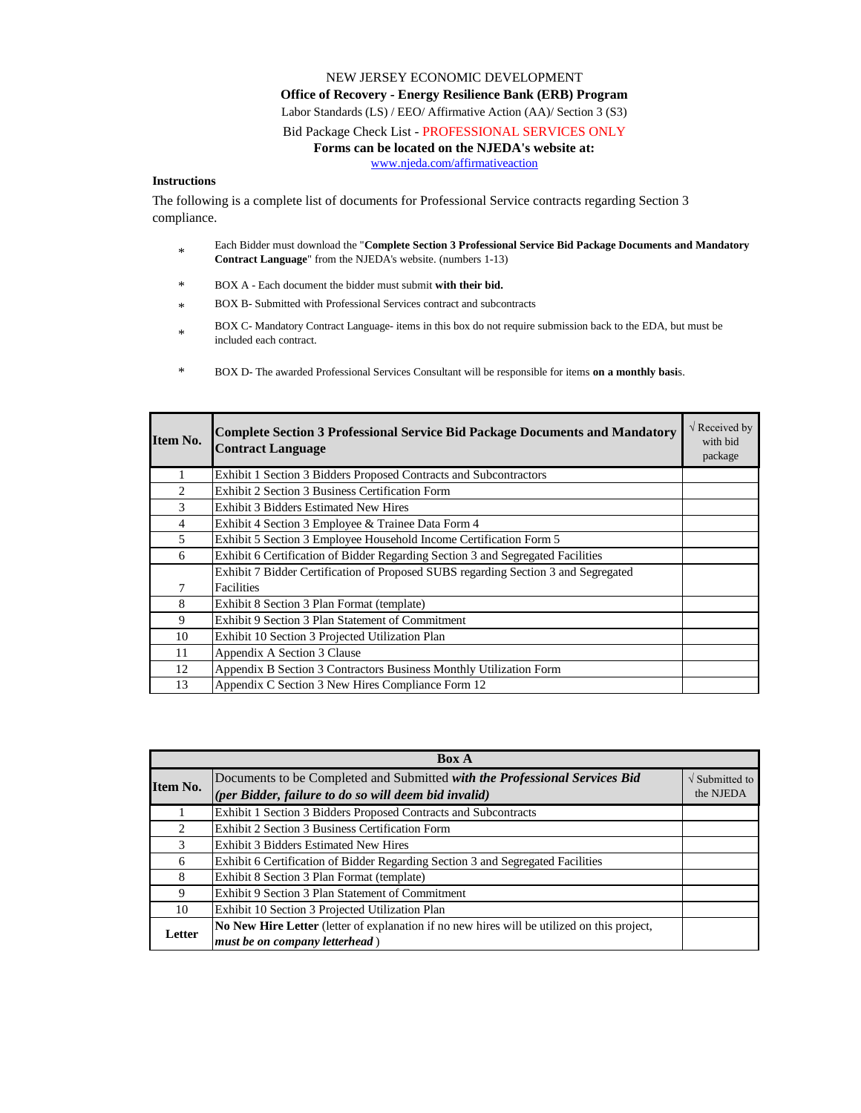## NEW JERSEY ECONOMIC DEVELOPMENT **Office of Recovery - Energy Resilience Bank (ERB) Program** Labor Standards (LS) / EEO/ Affirmative Action (AA)/ Section 3 (S3) Bid Package Check List - PROFESSIONAL SERVICES ONLY

## **Forms can be located on the NJEDA's website at:**

[w](http://www.njeda.com/affirmativeaction)ww.njeda.com/affirmativeaction

## **Instructions**

The following is a complete list of documents for Professional Service contracts regarding Section 3 compliance.

- \* Each Bidder must download the "**Complete Section 3 Professional Service Bid Package Documents and Mandatory Contract Language**" from the NJEDA's website. (numbers 1-13)
- \* BOX A - Each document the bidder must submit **with their bid.**
- \* BOX B- Submitted with Professional Services contract and subcontracts
- $\ddot{\phantom{0}}$ BOX C- Mandatory Contract Language- items in this box do not require submission back to the EDA, but must be included each contract.
- \* BOX D- The awarded Professional Services Consultant will be responsible for items **on a monthly basi**s.

| Item No.                      | <b>Complete Section 3 Professional Service Bid Package Documents and Mandatory</b><br><b>Contract Language</b> | $\sqrt{R}$ Received by<br>with bid<br>package |
|-------------------------------|----------------------------------------------------------------------------------------------------------------|-----------------------------------------------|
|                               | Exhibit 1 Section 3 Bidders Proposed Contracts and Subcontractors                                              |                                               |
| $\mathfrak{D}_{\mathfrak{p}}$ | Exhibit 2 Section 3 Business Certification Form                                                                |                                               |
| 3                             | Exhibit 3 Bidders Estimated New Hires                                                                          |                                               |
| 4                             | Exhibit 4 Section 3 Employee & Trainee Data Form 4                                                             |                                               |
| 5                             | Exhibit 5 Section 3 Employee Household Income Certification Form 5                                             |                                               |
| 6                             | Exhibit 6 Certification of Bidder Regarding Section 3 and Segregated Facilities                                |                                               |
|                               | Exhibit 7 Bidder Certification of Proposed SUBS regarding Section 3 and Segregated                             |                                               |
| 7                             | Facilities                                                                                                     |                                               |
| 8                             | Exhibit 8 Section 3 Plan Format (template)                                                                     |                                               |
| 9                             | Exhibit 9 Section 3 Plan Statement of Commitment                                                               |                                               |
| 10                            | Exhibit 10 Section 3 Projected Utilization Plan                                                                |                                               |
| 11                            | Appendix A Section 3 Clause                                                                                    |                                               |
| 12                            | Appendix B Section 3 Contractors Business Monthly Utilization Form                                             |                                               |
| 13                            | Appendix C Section 3 New Hires Compliance Form 12                                                              |                                               |

| <b>Box A</b>                  |                                                                                             |                                   |  |
|-------------------------------|---------------------------------------------------------------------------------------------|-----------------------------------|--|
| Item No.                      | Documents to be Completed and Submitted with the Professional Services Bid                  | $\sqrt{\frac{1}{2}}$ Submitted to |  |
|                               | (per Bidder, failure to do so will deem bid invalid)                                        | the NJEDA                         |  |
|                               | Exhibit 1 Section 3 Bidders Proposed Contracts and Subcontracts                             |                                   |  |
| $\mathfrak{D}_{\mathfrak{p}}$ | Exhibit 2 Section 3 Business Certification Form                                             |                                   |  |
| 3                             | Exhibit 3 Bidders Estimated New Hires                                                       |                                   |  |
| 6                             | Exhibit 6 Certification of Bidder Regarding Section 3 and Segregated Facilities             |                                   |  |
| 8                             | Exhibit 8 Section 3 Plan Format (template)                                                  |                                   |  |
| 9                             | Exhibit 9 Section 3 Plan Statement of Commitment                                            |                                   |  |
| 10                            | Exhibit 10 Section 3 Projected Utilization Plan                                             |                                   |  |
| Letter                        | No New Hire Letter (letter of explanation if no new hires will be utilized on this project, |                                   |  |
|                               | must be on company letterhead)                                                              |                                   |  |